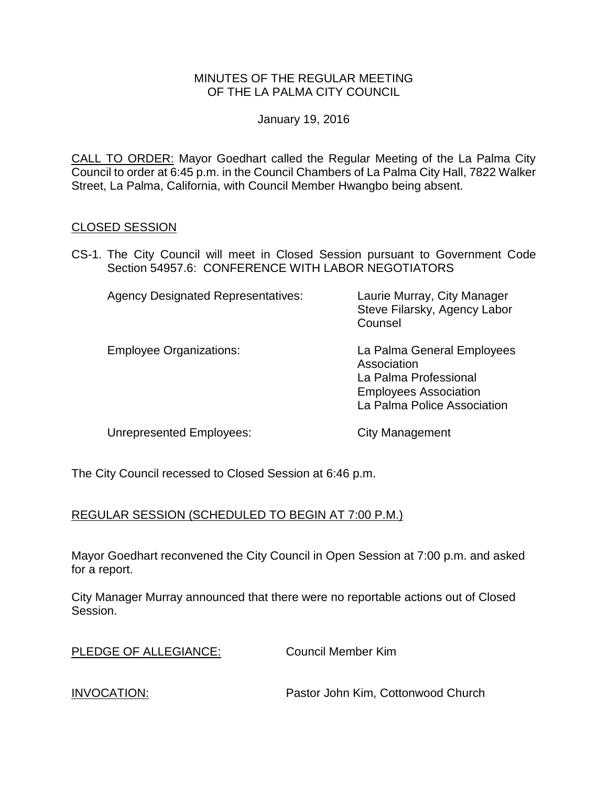## MINUTES OF THE REGULAR MEETING OF THE LA PALMA CITY COUNCIL

January 19, 2016

CALL TO ORDER: [Mayor Goedhart called the Regular Meeting of the La Palma City](http://lapalma.granicus.com/MediaPlayer.php?view_id=&clip_id=965&meta_id=128592)  [Council to order at 6:45 p.m. in the Council Chambers of La Palma City Hall, 7822 Walker](http://lapalma.granicus.com/MediaPlayer.php?view_id=&clip_id=965&meta_id=128592)  [Street, La Palma, California, with Council Member Hwangbo being absent.](http://lapalma.granicus.com/MediaPlayer.php?view_id=&clip_id=965&meta_id=128592)

## [CLOSED SESSION](http://lapalma.granicus.com/MediaPlayer.php?view_id=&clip_id=965&meta_id=128593)

CS-1. [The City Council will meet in Closed Session pursuant to Government Code](http://lapalma.granicus.com/MediaPlayer.php?view_id=&clip_id=965&meta_id=128594)  Section 54957.6: [CONFERENCE WITH LABOR NEGOTIATORS](http://lapalma.granicus.com/MediaPlayer.php?view_id=&clip_id=965&meta_id=128594)

| <b>Agency Designated Representatives:</b> | Laurie Murray, City Manager<br>Steve Filarsky, Agency Labor<br>Counsel                                                            |
|-------------------------------------------|-----------------------------------------------------------------------------------------------------------------------------------|
| <b>Employee Organizations:</b>            | La Palma General Employees<br>Association<br>La Palma Professional<br><b>Employees Association</b><br>La Palma Police Association |

Unrepresented Employees: City Management

The City Council recessed to Closed Session at 6:46 p.m.

# REGULAR SESSION (SCHEDULED TO BEGIN AT 7:00 P.M.)

Mayor Goedhart reconvened the City Council in Open Session at 7:00 p.m. and asked for a report.

City Manager Murray announced that there were no reportable actions out of Closed Session.

Council Member Kim

INVOCATION: [Pastor John Kim, Cottonwood Church](http://lapalma.granicus.com/MediaPlayer.php?view_id=&clip_id=965&meta_id=128601)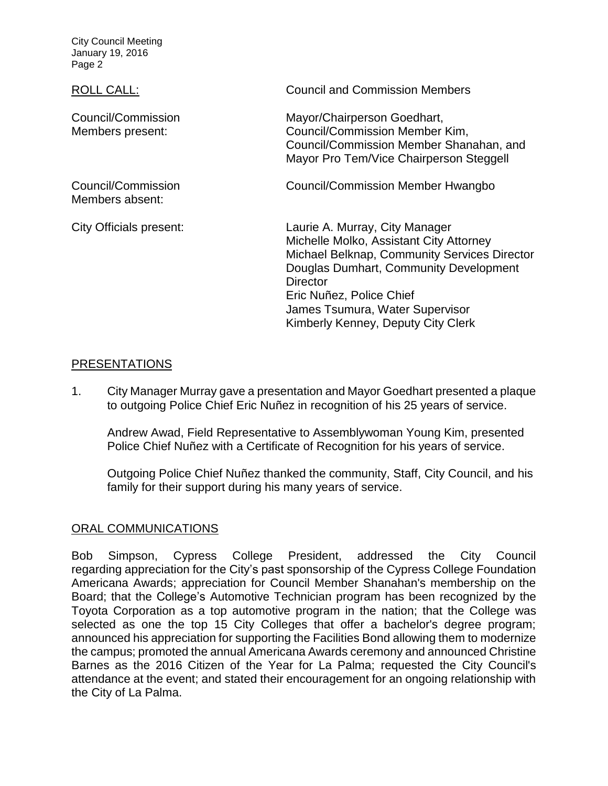City Council Meeting January 19, 2016 Page 2

Council/Commission Members present:

Council/Commission Members absent:

ROLL CALL: COUNCIL CALL: [Council and Commission Members](http://lapalma.granicus.com/MediaPlayer.php?view_id=&clip_id=965&meta_id=128602)

Mayor/Chairperson Goedhart, Council/Commission Member Kim, Council/Commission Member Shanahan, and Mayor Pro Tem/Vice Chairperson Steggell

Council/Commission Member Hwangbo

City Officials present: Laurie A. Murray, City Manager Michelle Molko, Assistant City Attorney Michael Belknap, Community Services Director Douglas Dumhart, Community Development **Director** Eric Nuñez, Police Chief James Tsumura, Water Supervisor Kimberly Kenney, Deputy City Clerk

# [PRESENTATIONS](http://lapalma.granicus.com/MediaPlayer.php?view_id=&clip_id=965&meta_id=128603)

1. City Manager Murray [gave a presentation and Mayor Goedhart presented a plaque](http://lapalma.granicus.com/MediaPlayer.php?view_id=&clip_id=965&meta_id=128604)  [to outgoing Police Chief Eric Nuñez in recognition of his 25 years of service.](http://lapalma.granicus.com/MediaPlayer.php?view_id=&clip_id=965&meta_id=128604)

Andrew Awad, Field Representative to Assemblywoman Young Kim, presented Police Chief Nuñez with a Certificate of Recognition for his years of service.

Outgoing Police Chief Nuñez thanked the community, Staff, City Council, and his family for their support during his many years of service.

# [ORAL COMMUNICATIONS](http://lapalma.granicus.com/MediaPlayer.php?view_id=&clip_id=965&meta_id=128608)

Bob Simpson, Cypress College President, addressed the City Council regarding appreciation for the City's past sponsorship of the Cypress College Foundation Americana Awards; appreciation for Council Member Shanahan's membership on the Board; that the College's Automotive Technician program has been recognized by the Toyota Corporation as a top automotive program in the nation; that the College was selected as one the top 15 City Colleges that offer a bachelor's degree program; announced his appreciation for supporting the Facilities Bond allowing them to modernize the campus; promoted the annual Americana Awards ceremony and announced Christine Barnes as the 2016 Citizen of the Year for La Palma; requested the City Council's attendance at the event; and stated their encouragement for an ongoing relationship with the City of La Palma.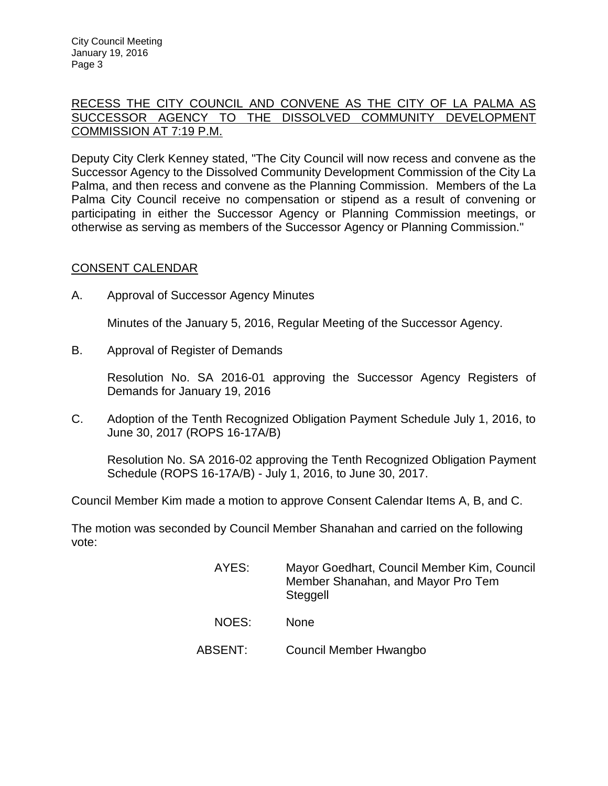## [RECESS THE CITY COUNCIL AND CONVENE AS THE CITY OF LA PALMA AS](http://lapalma.granicus.com/MediaPlayer.php?view_id=&clip_id=965&meta_id=128610)  [SUCCESSOR AGENCY TO THE DISSOLVED COMMUNITY DEVELOPMENT](http://lapalma.granicus.com/MediaPlayer.php?view_id=&clip_id=965&meta_id=128610)  [COMMISSION AT 7:19 P.M.](http://lapalma.granicus.com/MediaPlayer.php?view_id=&clip_id=965&meta_id=128610)

Deputy City Clerk Kenney stated, "The City Council will now recess and convene as the Successor Agency to the Dissolved Community Development Commission of the City La Palma, and then recess and convene as the Planning Commission. Members of the La Palma City Council receive no compensation or stipend as a result of convening or participating in either the Successor Agency or Planning Commission meetings, or otherwise as serving as members of the Successor Agency or Planning Commission."

# [CONSENT CALENDAR](http://lapalma.granicus.com/MediaPlayer.php?view_id=&clip_id=965&meta_id=128612)

A. Approval of Successor Agency Minutes

Minutes of the January 5, 2016, Regular Meeting of the Successor Agency.

B. Approval of Register of Demands

Resolution No. SA 2016-01 approving the Successor Agency Registers of Demands for January 19, 2016

C. Adoption of the Tenth Recognized Obligation Payment Schedule July 1, 2016, to June 30, 2017 (ROPS 16-17A/B)

Resolution No. SA 2016-02 approving the Tenth Recognized Obligation Payment Schedule (ROPS 16-17A/B) - July 1, 2016, to June 30, 2017.

Council Member Kim made a motion to approve Consent Calendar Items A, B, and C.

The motion was seconded by Council Member Shanahan and carried on the following vote:

> AYES: Mayor Goedhart, Council Member Kim, Council Member Shanahan, and Mayor Pro Tem **Steggell** NOES: None ABSENT: Council Member Hwangbo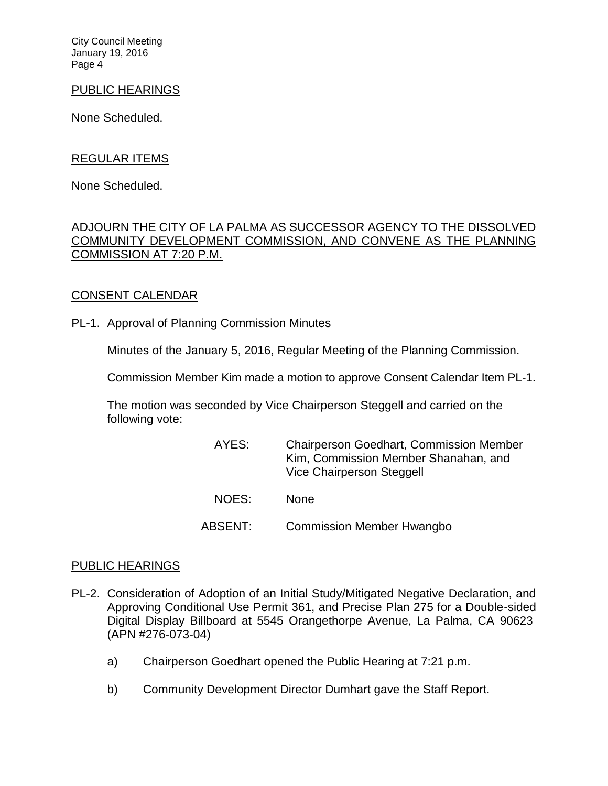City Council Meeting January 19, 2016 Page 4

## PUBLIC HEARINGS

None Scheduled.

## REGULAR ITEMS

None Scheduled.

## [ADJOURN THE CITY OF LA PALMA AS SUCCESSOR AGENCY TO THE DISSOLVED](http://lapalma.granicus.com/MediaPlayer.php?view_id=&clip_id=965&meta_id=128619)  [COMMUNITY DEVELOPMENT COMMISSION, AND CONVENE AS THE PLANNING](http://lapalma.granicus.com/MediaPlayer.php?view_id=&clip_id=965&meta_id=128619)  [COMMISSION AT 7:20 P.M.](http://lapalma.granicus.com/MediaPlayer.php?view_id=&clip_id=965&meta_id=128619)

## [CONSENT CALENDAR](http://lapalma.granicus.com/MediaPlayer.php?view_id=&clip_id=965&meta_id=128620)

PL-1. Approval of Planning Commission Minutes

Minutes of the January 5, 2016, Regular Meeting of the Planning Commission.

Commission Member Kim made a motion to approve Consent Calendar Item PL-1.

The motion was seconded by Vice Chairperson Steggell and carried on the following vote:

| AYES:   | <b>Chairperson Goedhart, Commission Member</b><br>Kim, Commission Member Shanahan, and<br>Vice Chairperson Steggell |
|---------|---------------------------------------------------------------------------------------------------------------------|
| NOES:   | <b>None</b>                                                                                                         |
| ABSENT: | <b>Commission Member Hwangbo</b>                                                                                    |

### [PUBLIC HEARINGS](http://lapalma.granicus.com/MediaPlayer.php?view_id=&clip_id=965&meta_id=128623)

- PL-2. [Consideration of Adoption of an Initial Study/Mitigated Negative Declaration, and](http://lapalma.granicus.com/MediaPlayer.php?view_id=&clip_id=965&meta_id=128624)  [Approving Conditional Use Permit 361, and Precise Plan 275 for a Double-sided](http://lapalma.granicus.com/MediaPlayer.php?view_id=&clip_id=965&meta_id=128624)  [Digital Display Billboard at 5545 Orangethorpe Avenue, La Palma, CA 90623](http://lapalma.granicus.com/MediaPlayer.php?view_id=&clip_id=965&meta_id=128624) [\(APN #276-073-04\)](http://lapalma.granicus.com/MediaPlayer.php?view_id=&clip_id=965&meta_id=128624)
	- a) [Chairperson Goedhart opened the Public Hearing at 7:21 p.m.](http://lapalma.granicus.com/MediaPlayer.php?view_id=&clip_id=965&meta_id=128625)
	- b) [Community Development Director Dumhart gave the Staff Report.](http://lapalma.granicus.com/MediaPlayer.php?view_id=&clip_id=965&meta_id=128626)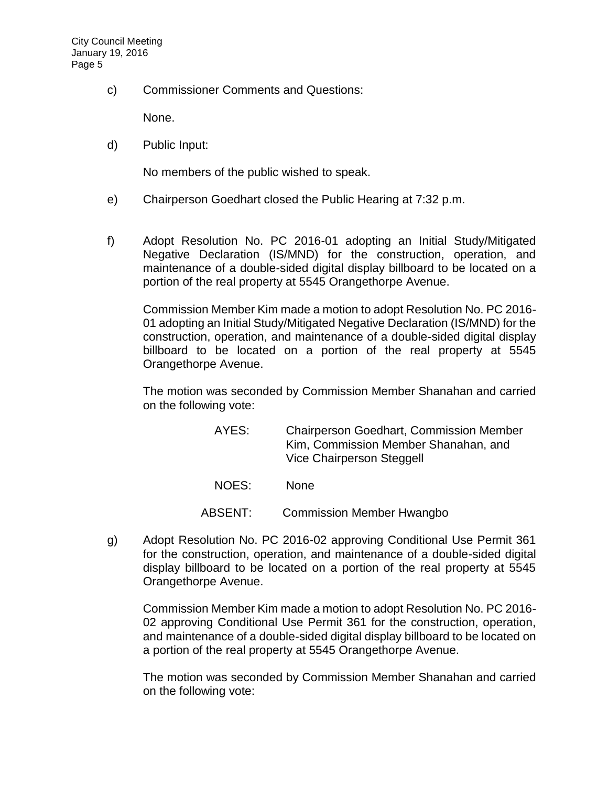c) [Commissioner Comments and Questions:](http://lapalma.granicus.com/MediaPlayer.php?view_id=&clip_id=965&meta_id=128627)

None.

d) [Public Input:](http://lapalma.granicus.com/MediaPlayer.php?view_id=&clip_id=965&meta_id=128628)

No members of the public wished to speak.

- e) [Chairperson Goedhart closed the Public Hearing at 7:32 p.m.](http://lapalma.granicus.com/MediaPlayer.php?view_id=&clip_id=965&meta_id=128629)
- f) [Adopt Resolution No. PC 2016-01 adopting an Initial Study/Mitigated](http://lapalma.granicus.com/MediaPlayer.php?view_id=&clip_id=965&meta_id=128630)  [Negative Declaration \(IS/MND\) for the construction, operation, and](http://lapalma.granicus.com/MediaPlayer.php?view_id=&clip_id=965&meta_id=128630)  [maintenance of a double-sided digital display billboard to be located on a](http://lapalma.granicus.com/MediaPlayer.php?view_id=&clip_id=965&meta_id=128630)  [portion of the real property at 5545 Orangethorpe Avenue.](http://lapalma.granicus.com/MediaPlayer.php?view_id=&clip_id=965&meta_id=128630)

Commission Member Kim made a motion to adopt Resolution No. PC 2016- 01 adopting an Initial Study/Mitigated Negative Declaration (IS/MND) for the construction, operation, and maintenance of a double-sided digital display billboard to be located on a portion of the real property at 5545 Orangethorpe Avenue.

The motion was seconded by Commission Member Shanahan and carried on the following vote:

- AYES: Chairperson Goedhart, Commission Member Kim, Commission Member Shanahan, and Vice Chairperson Steggell NOES: None
- ABSENT: Commission Member Hwangbo
- g) [Adopt Resolution No. PC 2016-02 approving Conditional Use Permit 361](http://lapalma.granicus.com/MediaPlayer.php?view_id=&clip_id=965&meta_id=128631)  [for the construction, operation, and maintenance of a double-sided digital](http://lapalma.granicus.com/MediaPlayer.php?view_id=&clip_id=965&meta_id=128631)  [display billboard to be located on a portion of the real property at 5545](http://lapalma.granicus.com/MediaPlayer.php?view_id=&clip_id=965&meta_id=128631)  [Orangethorpe Avenue.](http://lapalma.granicus.com/MediaPlayer.php?view_id=&clip_id=965&meta_id=128631)

Commission Member Kim made a motion to adopt Resolution No. PC 2016- 02 approving Conditional Use Permit 361 for the construction, operation, and maintenance of a double-sided digital display billboard to be located on a portion of the real property at 5545 Orangethorpe Avenue.

The motion was seconded by Commission Member Shanahan and carried on the following vote: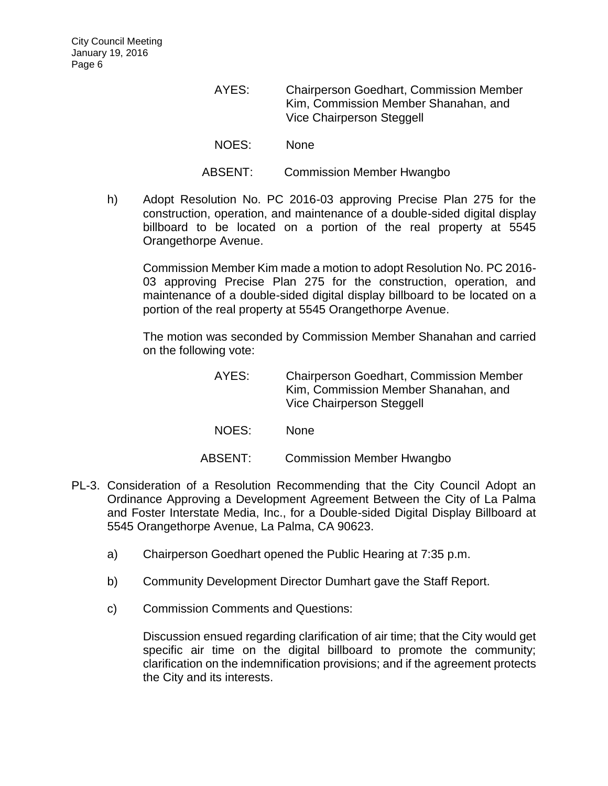- AYES: Chairperson Goedhart, Commission Member Kim, Commission Member Shanahan, and Vice Chairperson Steggell NOES: None ABSENT: Commission Member Hwangbo
- h) [Adopt Resolution No. PC 2016-03 approving Precise Plan 275 for the](http://lapalma.granicus.com/MediaPlayer.php?view_id=&clip_id=965&meta_id=128632)  [construction, operation, and maintenance of a double-sided digital display](http://lapalma.granicus.com/MediaPlayer.php?view_id=&clip_id=965&meta_id=128632)  [billboard to be located on a portion of the real property at 5545](http://lapalma.granicus.com/MediaPlayer.php?view_id=&clip_id=965&meta_id=128632)  [Orangethorpe Avenue.](http://lapalma.granicus.com/MediaPlayer.php?view_id=&clip_id=965&meta_id=128632)

Commission Member Kim made a motion to adopt Resolution No. PC 2016- 03 approving Precise Plan 275 for the construction, operation, and maintenance of a double-sided digital display billboard to be located on a portion of the real property at 5545 Orangethorpe Avenue.

The motion was seconded by Commission Member Shanahan and carried on the following vote:

> AYES: Chairperson Goedhart, Commission Member Kim, Commission Member Shanahan, and Vice Chairperson Steggell

NOES: None

ABSENT: Commission Member Hwangbo

- PL-3. [Consideration of a Resolution Recommending that the City Council Adopt an](http://lapalma.granicus.com/MediaPlayer.php?view_id=&clip_id=965&meta_id=128633)  [Ordinance Approving a Development Agreement Between the City of La Palma](http://lapalma.granicus.com/MediaPlayer.php?view_id=&clip_id=965&meta_id=128633)  [and Foster Interstate Media, Inc., for a Double-sided Digital Display Billboard at](http://lapalma.granicus.com/MediaPlayer.php?view_id=&clip_id=965&meta_id=128633)  [5545 Orangethorpe Avenue, La Palma, CA 90623.](http://lapalma.granicus.com/MediaPlayer.php?view_id=&clip_id=965&meta_id=128633)
	- a) [Chairperson Goedhart opened the Public Hearing at 7:35 p.m.](http://lapalma.granicus.com/MediaPlayer.php?view_id=&clip_id=965&meta_id=128634)
	- b) [Community Development Director Dumhart gave the Staff Report.](http://lapalma.granicus.com/MediaPlayer.php?view_id=&clip_id=965&meta_id=128635)
	- c) [Commission Comments and Questions:](http://lapalma.granicus.com/MediaPlayer.php?view_id=&clip_id=965&meta_id=128636)

Discussion ensued regarding clarification of air time; that the City would get specific air time on the digital billboard to promote the community; clarification on the indemnification provisions; and if the agreement protects the City and its interests.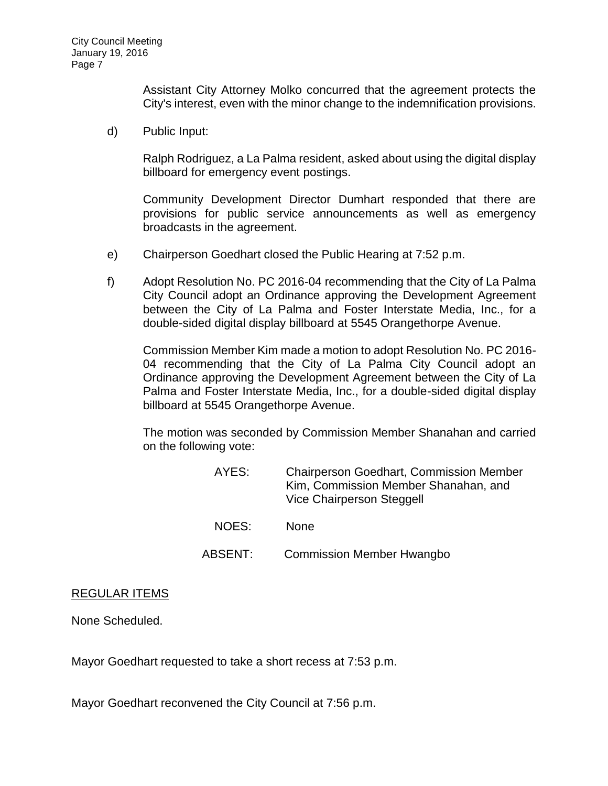Assistant City Attorney Molko concurred that the agreement protects the City's interest, even with the minor change to the indemnification provisions.

d) [Public Input:](http://lapalma.granicus.com/MediaPlayer.php?view_id=&clip_id=965&meta_id=128637)

Ralph Rodriguez, a La Palma resident, asked about using the digital display billboard for emergency event postings.

Community Development Director Dumhart responded that there are provisions for public service announcements as well as emergency broadcasts in the agreement.

- e) [Chairperson Goedhart closed the Public Hearing at 7:52 p.m.](http://lapalma.granicus.com/MediaPlayer.php?view_id=&clip_id=965&meta_id=128638)
- f) [Adopt Resolution No. PC 2016-04 recommending that the City of La Palma](http://lapalma.granicus.com/MediaPlayer.php?view_id=&clip_id=965&meta_id=128639)  [City Council adopt an Ordinance approving the Development Agreement](http://lapalma.granicus.com/MediaPlayer.php?view_id=&clip_id=965&meta_id=128639)  [between the City of La Palma and Foster Interstate Media, Inc., for a](http://lapalma.granicus.com/MediaPlayer.php?view_id=&clip_id=965&meta_id=128639)  [double-sided digital display billboard at 5545 Orangethorpe Avenue.](http://lapalma.granicus.com/MediaPlayer.php?view_id=&clip_id=965&meta_id=128639)

Commission Member Kim made a motion to adopt Resolution No. PC 2016- 04 recommending that the City of La Palma City Council adopt an Ordinance approving the Development Agreement between the City of La Palma and Foster Interstate Media, Inc., for a double-sided digital display billboard at 5545 Orangethorpe Avenue.

The motion was seconded by Commission Member Shanahan and carried on the following vote:

| AYES:   | <b>Chairperson Goedhart, Commission Member</b><br>Kim, Commission Member Shanahan, and<br>Vice Chairperson Steggell |
|---------|---------------------------------------------------------------------------------------------------------------------|
| NOES:   | <b>None</b>                                                                                                         |
| ABSENT: | <b>Commission Member Hwangbo</b>                                                                                    |

## REGULAR ITEMS

None Scheduled.

Mayor Goedhart requested to take a short recess at 7:53 p.m.

Mayor Goedhart reconvened the City Council at 7:56 p.m.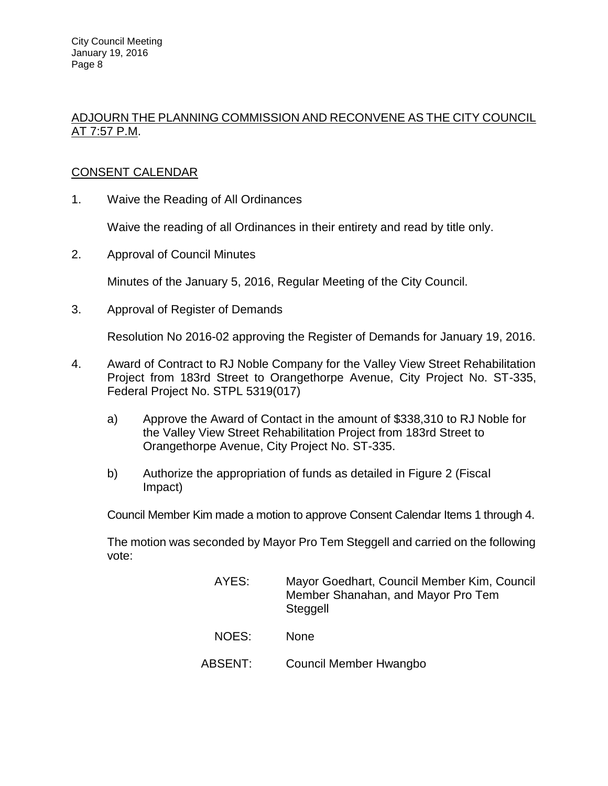# ADJOURN THE PLANNING COMMISSION AND RECONVENE AS THE CITY COUNCIL AT 7:57 P.M.

# CONSENT CALENDAR

1. Waive the Reading of All Ordinances

Waive the reading of all Ordinances in their entirety and read by title only.

2. Approval of Council Minutes

Minutes of the January 5, 2016, Regular Meeting of the City Council.

3. Approval of Register of Demands

Resolution No 2016-02 approving the Register of Demands for January 19, 2016.

- 4. Award of Contract to RJ Noble Company for the Valley View Street Rehabilitation Project from 183rd Street to Orangethorpe Avenue, City Project No. ST-335, Federal Project No. STPL 5319(017)
	- a) Approve the Award of Contact in the amount of \$338,310 to RJ Noble for the Valley View Street Rehabilitation Project from 183rd Street to Orangethorpe Avenue, City Project No. ST-335.
	- b) Authorize the appropriation of funds as detailed in Figure 2 (Fiscal Impact)

Council Member Kim made a motion to approve Consent Calendar Items 1 through 4.

The motion was seconded by Mayor Pro Tem Steggell and carried on the following vote:

| AYES:   | Mayor Goedhart, Council Member Kim, Council<br>Member Shanahan, and Mayor Pro Tem<br>Steggell |
|---------|-----------------------------------------------------------------------------------------------|
| NOES:   | <b>None</b>                                                                                   |
| ABSENT: | Council Member Hwangbo                                                                        |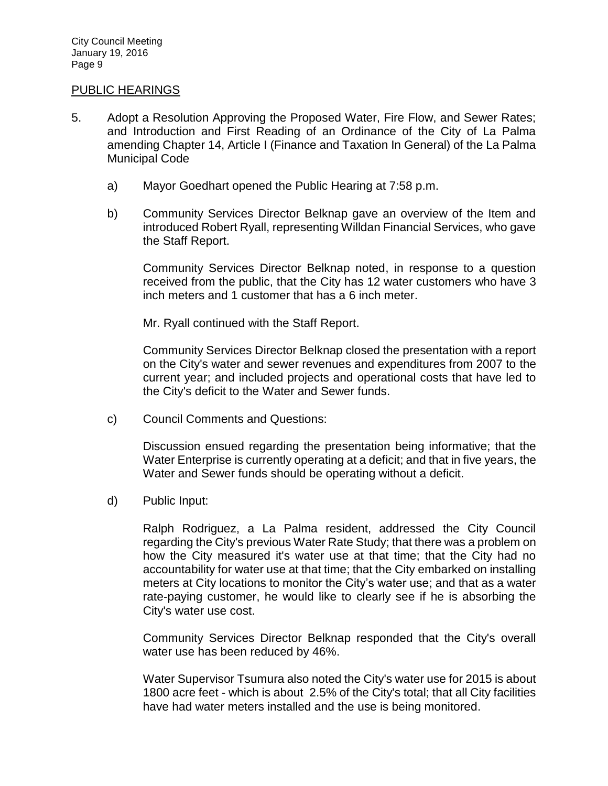## [PUBLIC HEARINGS](http://lapalma.granicus.com/MediaPlayer.php?view_id=&clip_id=965&meta_id=128653)

- 5. [Adopt a Resolution Approving the Proposed Water, Fire Flow, and Sewer Rates;](http://lapalma.granicus.com/MediaPlayer.php?view_id=&clip_id=965&meta_id=128654)  [and Introduction and First Reading of an Ordinance of the City of La Palma](http://lapalma.granicus.com/MediaPlayer.php?view_id=&clip_id=965&meta_id=128654)  [amending Chapter 14, Article I \(Finance and Taxation In General\) of the La Palma](http://lapalma.granicus.com/MediaPlayer.php?view_id=&clip_id=965&meta_id=128654)  [Municipal Code](http://lapalma.granicus.com/MediaPlayer.php?view_id=&clip_id=965&meta_id=128654)
	- a) [Mayor Goedhart opened the Public Hearing at 7:58 p.m.](http://lapalma.granicus.com/MediaPlayer.php?view_id=&clip_id=965&meta_id=128655)
	- b) [Community Services Director Belknap gave an overview of the Item and](http://lapalma.granicus.com/MediaPlayer.php?view_id=&clip_id=965&meta_id=128656)  [introduced Robert Ryall, representing Willdan Financial Services, who gave](http://lapalma.granicus.com/MediaPlayer.php?view_id=&clip_id=965&meta_id=128656)  [the Staff Report.](http://lapalma.granicus.com/MediaPlayer.php?view_id=&clip_id=965&meta_id=128656)

Community Services Director Belknap noted, in response to a question received from the public, that the City has 12 water customers who have 3 inch meters and 1 customer that has a 6 inch meter.

Mr. Ryall continued with the Staff Report.

Community Services Director Belknap closed the presentation with a report on the City's water and sewer revenues and expenditures from 2007 to the current year; and included projects and operational costs that have led to the City's deficit to the Water and Sewer funds.

c) [Council Comments and Questions:](http://lapalma.granicus.com/MediaPlayer.php?view_id=&clip_id=965&meta_id=128657)

Discussion ensued regarding the presentation being informative; that the Water Enterprise is currently operating at a deficit; and that in five years, the Water and Sewer funds should be operating without a deficit.

d) [Public Input:](http://lapalma.granicus.com/MediaPlayer.php?view_id=&clip_id=965&meta_id=128658)

Ralph Rodriguez, a La Palma resident, addressed the City Council regarding the City's previous Water Rate Study; that there was a problem on how the City measured it's water use at that time; that the City had no accountability for water use at that time; that the City embarked on installing meters at City locations to monitor the City's water use; and that as a water rate-paying customer, he would like to clearly see if he is absorbing the City's water use cost.

Community Services Director Belknap responded that the City's overall water use has been reduced by 46%.

Water Supervisor Tsumura also noted the City's water use for 2015 is about 1800 acre feet - which is about 2.5% of the City's total; that all City facilities have had water meters installed and the use is being monitored.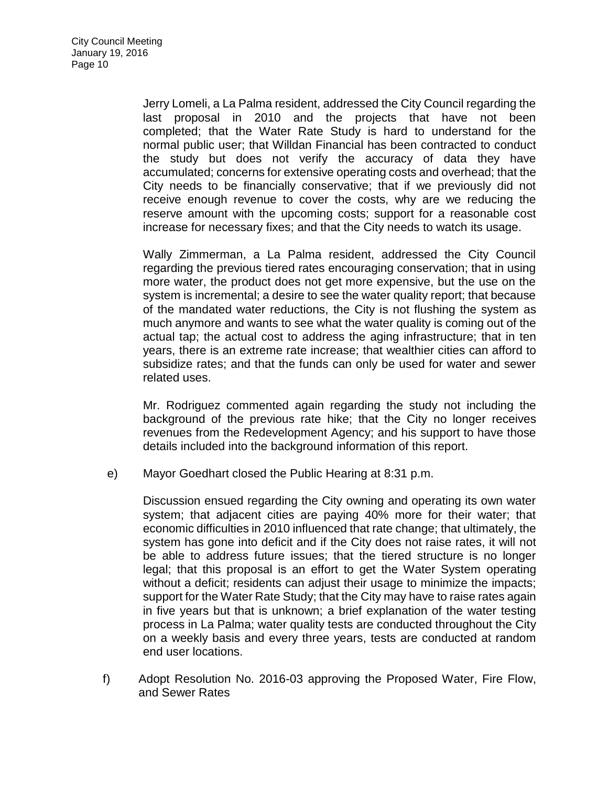Jerry Lomeli, a La Palma resident, addressed the City Council regarding the last proposal in 2010 and the projects that have not been completed; that the Water Rate Study is hard to understand for the normal public user; that Willdan Financial has been contracted to conduct the study but does not verify the accuracy of data they have accumulated; concerns for extensive operating costs and overhead; that the City needs to be financially conservative; that if we previously did not receive enough revenue to cover the costs, why are we reducing the reserve amount with the upcoming costs; support for a reasonable cost increase for necessary fixes; and that the City needs to watch its usage.

Wally Zimmerman, a La Palma resident, addressed the City Council regarding the previous tiered rates encouraging conservation; that in using more water, the product does not get more expensive, but the use on the system is incremental; a desire to see the water quality report; that because of the mandated water reductions, the City is not flushing the system as much anymore and wants to see what the water quality is coming out of the actual tap; the actual cost to address the aging infrastructure; that in ten years, there is an extreme rate increase; that wealthier cities can afford to subsidize rates; and that the funds can only be used for water and sewer related uses.

Mr. Rodriguez commented again regarding the study not including the background of the previous rate hike; that the City no longer receives revenues from the Redevelopment Agency; and his support to have those details included into the background information of this report.

e) [Mayor Goedhart closed the Public Hearing at 8:31 p.m.](http://lapalma.granicus.com/MediaPlayer.php?view_id=&clip_id=965&meta_id=128659)

Discussion ensued regarding the City owning and operating its own water system; that adjacent cities are paying 40% more for their water; that economic difficulties in 2010 influenced that rate change; that ultimately, the system has gone into deficit and if the City does not raise rates, it will not be able to address future issues; that the tiered structure is no longer legal; that this proposal is an effort to get the Water System operating without a deficit; residents can adjust their usage to minimize the impacts; support for the Water Rate Study; that the City may have to raise rates again in five years but that is unknown; a brief explanation of the water testing process in La Palma; water quality tests are conducted throughout the City on a weekly basis and every three years, tests are conducted at random end user locations.

f) [Adopt Resolution No. 2016-03 approving the Proposed Water, Fire Flow,](http://lapalma.granicus.com/MediaPlayer.php?view_id=&clip_id=965&meta_id=128660)  [and Sewer Rates](http://lapalma.granicus.com/MediaPlayer.php?view_id=&clip_id=965&meta_id=128660)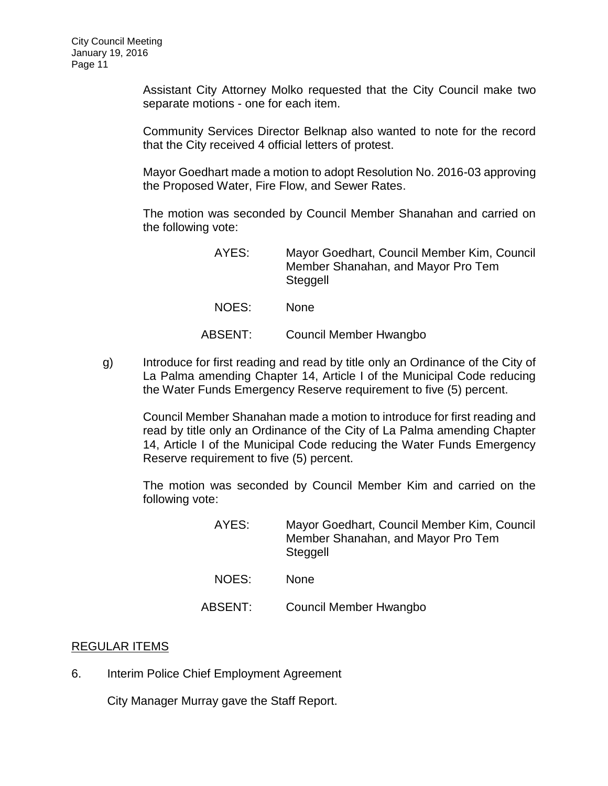Assistant City Attorney Molko requested that the City Council make two separate motions - one for each item.

Community Services Director Belknap also wanted to note for the record that the City received 4 official letters of protest.

Mayor Goedhart made a motion to adopt Resolution No. 2016-03 approving the Proposed Water, Fire Flow, and Sewer Rates.

The motion was seconded by Council Member Shanahan and carried on the following vote:

| AYES:   | Mayor Goedhart, Council Member Kim, Council<br>Member Shanahan, and Mayor Pro Tem<br>Steggell |
|---------|-----------------------------------------------------------------------------------------------|
| NOES:   | <b>None</b>                                                                                   |
| ABSENT: | Council Member Hwangbo                                                                        |

g) [Introduce for first reading and read by title only an Ordinance of the City of](http://lapalma.granicus.com/MediaPlayer.php?view_id=&clip_id=965&meta_id=128661)  [La Palma amending Chapter 14, Article I of the Municipal Code reducing](http://lapalma.granicus.com/MediaPlayer.php?view_id=&clip_id=965&meta_id=128661)  [the Water Funds Emergency Reserve requirement to five \(5\) percent.](http://lapalma.granicus.com/MediaPlayer.php?view_id=&clip_id=965&meta_id=128661)

Council Member Shanahan made a motion to introduce for first reading and read by title only an Ordinance of the City of La Palma amending Chapter 14, Article I of the Municipal Code reducing the Water Funds Emergency Reserve requirement to five (5) percent.

The motion was seconded by Council Member Kim and carried on the following vote:

| AYES:   | Mayor Goedhart, Council Member Kim, Council<br>Member Shanahan, and Mayor Pro Tem<br>Steggell |
|---------|-----------------------------------------------------------------------------------------------|
| NOES:   | <b>None</b>                                                                                   |
| ABSENT: | Council Member Hwangbo                                                                        |

# [REGULAR ITEMS](http://lapalma.granicus.com/MediaPlayer.php?view_id=&clip_id=965&meta_id=128677)

6. [Interim Police Chief Employment Agreement](http://lapalma.granicus.com/MediaPlayer.php?view_id=&clip_id=965&meta_id=128678)

City Manager Murray gave the Staff Report.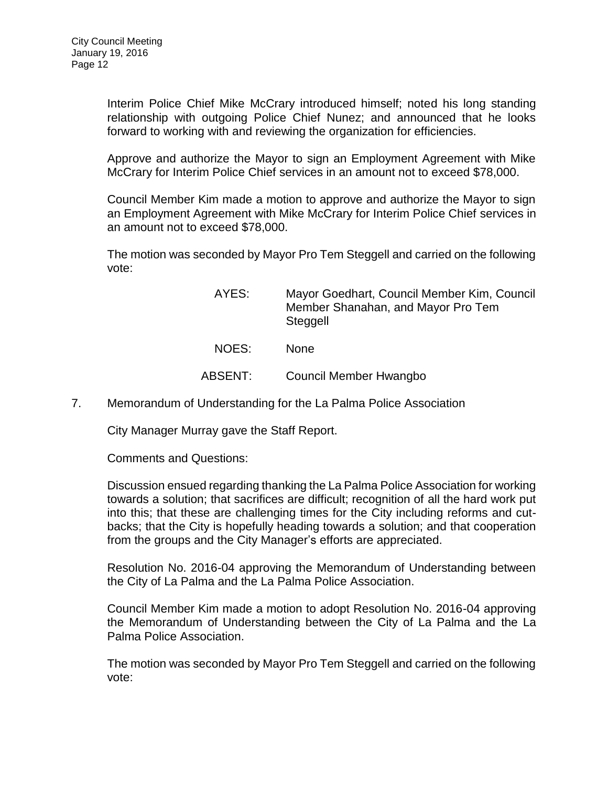Interim Police Chief Mike McCrary introduced himself; noted his long standing relationship with outgoing Police Chief Nunez; and announced that he looks forward to working with and reviewing the organization for efficiencies.

Approve and authorize the Mayor to sign an Employment Agreement with Mike McCrary for Interim Police Chief services in an amount not to exceed \$78,000.

Council Member Kim made a motion to approve and authorize the Mayor to sign an Employment Agreement with Mike McCrary for Interim Police Chief services in an amount not to exceed \$78,000.

The motion was seconded by Mayor Pro Tem Steggell and carried on the following vote:

| AYES:   | Mayor Goedhart, Council Member Kim, Council<br>Member Shanahan, and Mayor Pro Tem<br>Steggell |
|---------|-----------------------------------------------------------------------------------------------|
| NOES:   | <b>None</b>                                                                                   |
| ABSENT: | Council Member Hwangbo                                                                        |
|         |                                                                                               |

7. [Memorandum of Understanding for the La Palma Police Association](http://lapalma.granicus.com/MediaPlayer.php?view_id=&clip_id=965&meta_id=128681)

City Manager Murray gave the Staff Report.

Comments and Questions:

Discussion ensued regarding thanking the La Palma Police Association for working towards a solution; that sacrifices are difficult; recognition of all the hard work put into this; that these are challenging times for the City including reforms and cutbacks; that the City is hopefully heading towards a solution; and that cooperation from the groups and the City Manager's efforts are appreciated.

Resolution No. 2016-04 approving the Memorandum of Understanding between the City of La Palma and the La Palma Police Association.

Council Member Kim made a motion to adopt Resolution No. 2016-04 approving the Memorandum of Understanding between the City of La Palma and the La Palma Police Association.

The motion was seconded by Mayor Pro Tem Steggell and carried on the following vote: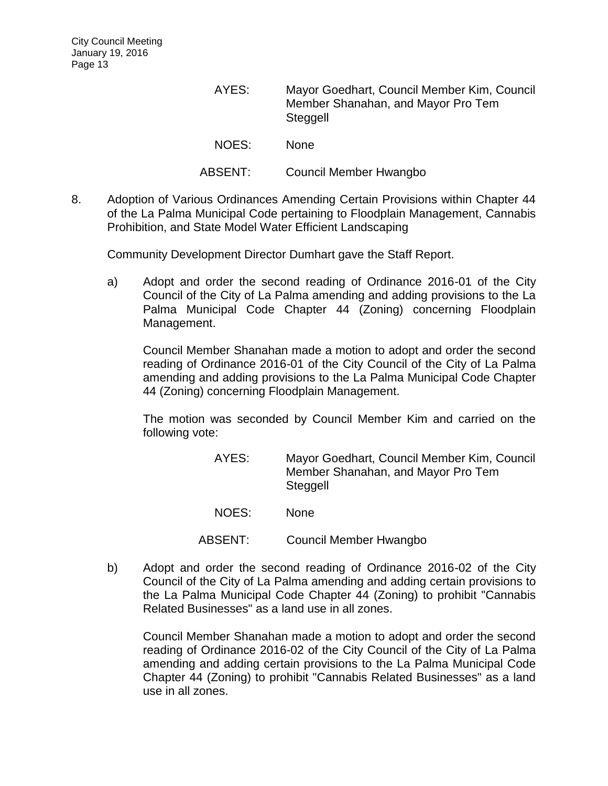| AYES:   | Mayor Goedhart, Council Member Kim, Council<br>Member Shanahan, and Mayor Pro Tem<br>Steggell |
|---------|-----------------------------------------------------------------------------------------------|
| NOES:   | <b>None</b>                                                                                   |
| ABSENT: | Council Member Hwangbo                                                                        |

8. [Adoption of Various Ordinances Amending Certain Provisions within Chapter 44](http://lapalma.granicus.com/MediaPlayer.php?view_id=&clip_id=965&meta_id=128684)  [of the La Palma Municipal Code pertaining to Floodplain Management, Cannabis](http://lapalma.granicus.com/MediaPlayer.php?view_id=&clip_id=965&meta_id=128684)  [Prohibition, and State Model Water Efficient Landscaping](http://lapalma.granicus.com/MediaPlayer.php?view_id=&clip_id=965&meta_id=128684)

Community Development Director Dumhart gave the Staff Report.

a) [Adopt and order the second reading of Ordinance 2016-01 of the City](http://lapalma.granicus.com/MediaPlayer.php?view_id=&clip_id=965&meta_id=128686)  [Council of the City of La Palma amending and adding provisions to the La](http://lapalma.granicus.com/MediaPlayer.php?view_id=&clip_id=965&meta_id=128686) [Palma Municipal Code Chapter 44 \(Zoning\) concerning Floodplain](http://lapalma.granicus.com/MediaPlayer.php?view_id=&clip_id=965&meta_id=128686)  [Management.](http://lapalma.granicus.com/MediaPlayer.php?view_id=&clip_id=965&meta_id=128686)

Council Member Shanahan made a motion to adopt and order the second reading of Ordinance 2016-01 of the City Council of the City of La Palma amending and adding provisions to the La Palma Municipal Code Chapter 44 (Zoning) concerning Floodplain Management.

The motion was seconded by Council Member Kim and carried on the following vote:

| AYES: | Mayor Goedhart, Council Member Kim, Council<br>Member Shanahan, and Mayor Pro Tem<br>Steggell |
|-------|-----------------------------------------------------------------------------------------------|
| NOES: | None                                                                                          |

- ABSENT: Council Member Hwangbo
- b) [Adopt and order the second reading of Ordinance 2016-02 of the City](http://lapalma.granicus.com/MediaPlayer.php?view_id=&clip_id=965&meta_id=128687)  [Council of the City of La Palma amending and adding certain provisions to](http://lapalma.granicus.com/MediaPlayer.php?view_id=&clip_id=965&meta_id=128687)  [the La Palma Municipal Code Chapter 44 \(Zoning\) to prohibit "Cannabis](http://lapalma.granicus.com/MediaPlayer.php?view_id=&clip_id=965&meta_id=128687)  [Related Businesses" as a land use in all zones.](http://lapalma.granicus.com/MediaPlayer.php?view_id=&clip_id=965&meta_id=128687)

Council Member Shanahan made a motion to adopt and order the second reading of Ordinance 2016-02 of the City Council of the City of La Palma amending and adding certain provisions to the La Palma Municipal Code Chapter 44 (Zoning) to prohibit "Cannabis Related Businesses" as a land use in all zones.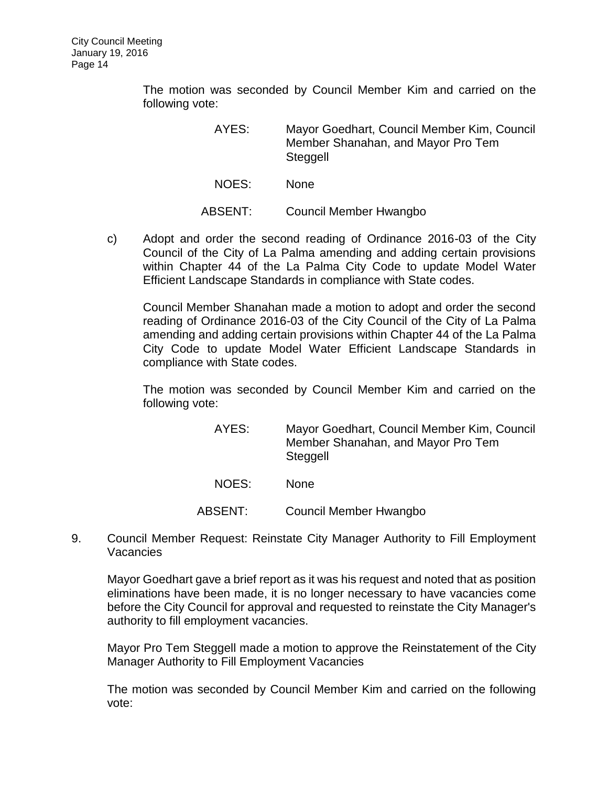The motion was seconded by Council Member Kim and carried on the following vote:

> AYES: Mayor Goedhart, Council Member Kim, Council Member Shanahan, and Mayor Pro Tem Steggell

NOES: None

ABSENT: Council Member Hwangbo

c) [Adopt and order the second reading of Ordinance 2016-03 of the City](http://lapalma.granicus.com/MediaPlayer.php?view_id=&clip_id=965&meta_id=128688)  [Council of the City of La Palma amending and adding certain provisions](http://lapalma.granicus.com/MediaPlayer.php?view_id=&clip_id=965&meta_id=128688)  [within Chapter 44 of the La Palma City Code to update Model Water](http://lapalma.granicus.com/MediaPlayer.php?view_id=&clip_id=965&meta_id=128688)  [Efficient Landscape Standards in compliance with State codes.](http://lapalma.granicus.com/MediaPlayer.php?view_id=&clip_id=965&meta_id=128688)

Council Member Shanahan made a motion to adopt and order the second reading of Ordinance 2016-03 of the City Council of the City of La Palma amending and adding certain provisions within Chapter 44 of the La Palma City Code to update Model Water Efficient Landscape Standards in compliance with State codes.

The motion was seconded by Council Member Kim and carried on the following vote:

- AYES: Mayor Goedhart, Council Member Kim, Council Member Shanahan, and Mayor Pro Tem Steggell NOES: None ABSENT: Council Member Hwangbo
- 9. [Council Member Request: Reinstate City Manager Authority to Fill Employment](http://lapalma.granicus.com/MediaPlayer.php?view_id=&clip_id=965&meta_id=128689)  **[Vacancies](http://lapalma.granicus.com/MediaPlayer.php?view_id=&clip_id=965&meta_id=128689)**

Mayor Goedhart gave a brief report as it was his request and noted that as position eliminations have been made, it is no longer necessary to have vacancies come before the City Council for approval and requested to reinstate the City Manager's authority to fill employment vacancies.

Mayor Pro Tem Steggell made a motion to approve the Reinstatement of the City Manager Authority to Fill Employment Vacancies

The motion was seconded by Council Member Kim and carried on the following vote: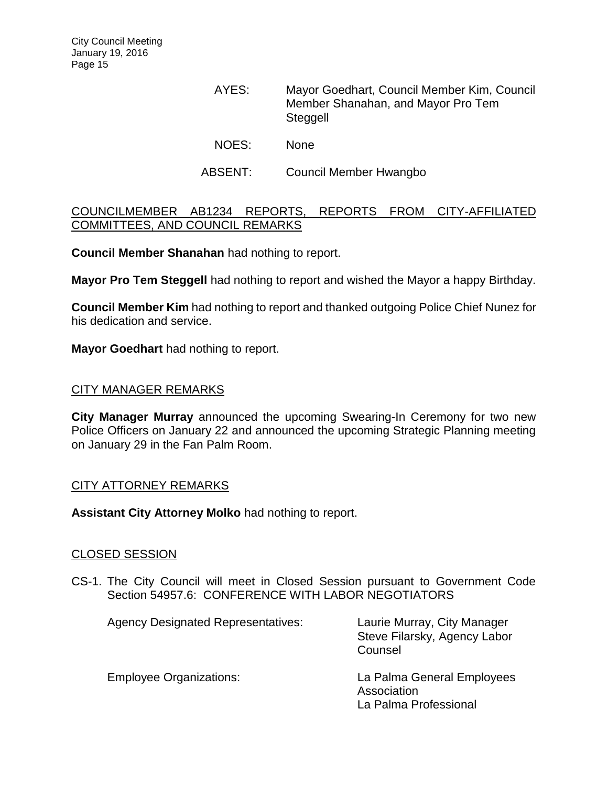- AYES: Mayor Goedhart, Council Member Kim, Council Member Shanahan, and Mayor Pro Tem **Steggell** NOES: None
- ABSENT: Council Member Hwangbo

## [COUNCILMEMBER AB1234 REPORTS, REPORTS FROM CITY-AFFILIATED](http://lapalma.granicus.com/MediaPlayer.php?view_id=&clip_id=965&meta_id=128695)  [COMMITTEES, AND COUNCIL REMARKS](http://lapalma.granicus.com/MediaPlayer.php?view_id=&clip_id=965&meta_id=128695)

**Council Member Shanahan** had nothing to report.

**Mayor Pro Tem Steggell** had nothing to report and wished the Mayor a happy Birthday.

**Council Member Kim** had nothing to report and thanked outgoing Police Chief Nunez for his dedication and service.

**Mayor Goedhart** had nothing to report.

## [CITY MANAGER REMARKS](http://lapalma.granicus.com/MediaPlayer.php?view_id=&clip_id=965&meta_id=128700)

**City Manager Murray** announced the upcoming Swearing-In Ceremony for two new Police Officers on January 22 and announced the upcoming Strategic Planning meeting on January 29 in the Fan Palm Room.

## [CITY ATTORNEY REMARKS](http://lapalma.granicus.com/MediaPlayer.php?view_id=&clip_id=965&meta_id=128702)

**Assistant City Attorney Molko** had nothing to report.

## [CLOSED SESSION](http://lapalma.granicus.com/MediaPlayer.php?view_id=&clip_id=965&meta_id=128704)

CS-1. [The City Council will meet in Closed Session pursuant to Government Code](http://lapalma.granicus.com/MediaPlayer.php?view_id=&clip_id=965&meta_id=128705)  Section 54957.6: [CONFERENCE WITH LABOR NEGOTIATORS](http://lapalma.granicus.com/MediaPlayer.php?view_id=&clip_id=965&meta_id=128705)

| <b>Agency Designated Representatives:</b> | Laurie Murray, City Manager<br>Steve Filarsky, Agency Labor<br>Counsel |
|-------------------------------------------|------------------------------------------------------------------------|
| <b>Employee Organizations:</b>            | La Palma General Employees<br>Association<br>La Palma Professional     |